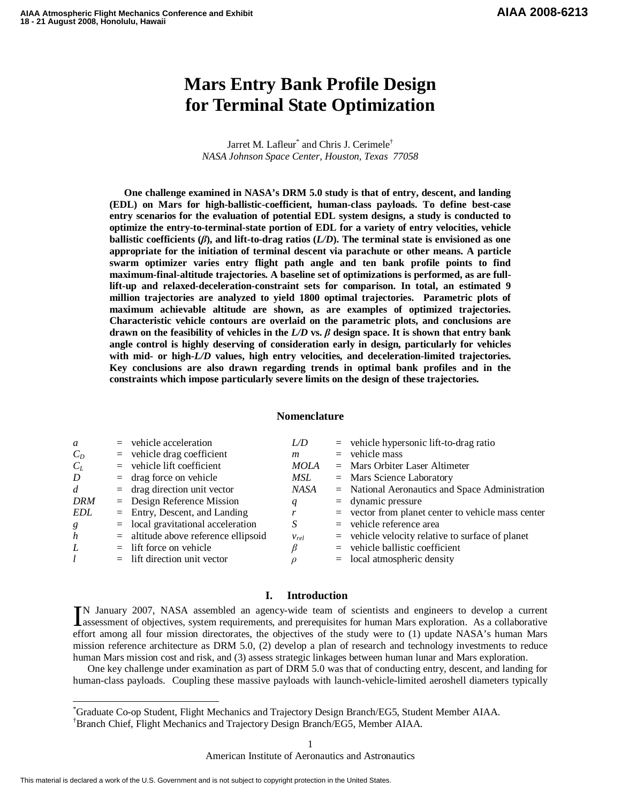# **Mars Entry Bank Profile Design for Terminal State Optimization**

Jarret M. Lafleur<sup>\*</sup> and Chris J. Cerimele<sup>†</sup> *NASA Johnson Space Center, Houston, Texas 77058* 

**One challenge examined in NASA's DRM 5.0 study is that of entry, descent, and landing (EDL) on Mars for high-ballistic-coefficient, human-class payloads. To define best-case entry scenarios for the evaluation of potential EDL system designs, a study is conducted to optimize the entry-to-terminal-state portion of EDL for a variety of entry velocities, vehicle ballistic coefficients (**β**), and lift-to-drag ratios (***L/D***). The terminal state is envisioned as one appropriate for the initiation of terminal descent via parachute or other means. A particle swarm optimizer varies entry flight path angle and ten bank profile points to find maximum-final-altitude trajectories. A baseline set of optimizations is performed, as are fulllift-up and relaxed-deceleration-constraint sets for comparison. In total, an estimated 9 million trajectories are analyzed to yield 1800 optimal trajectories. Parametric plots of maximum achievable altitude are shown, as are examples of optimized trajectories. Characteristic vehicle contours are overlaid on the parametric plots, and conclusions are drawn on the feasibility of vehicles in the**  $L/D$  **vs.**  $\beta$  **design space. It is shown that entry bank angle control is highly deserving of consideration early in design, particularly for vehicles with mid- or high-***L/D* **values, high entry velocities, and deceleration-limited trajectories. Key conclusions are also drawn regarding trends in optimal bank profiles and in the constraints which impose particularly severe limits on the design of these trajectories.** 

#### **Nomenclature**

| a                | $=$ vehicle acceleration               | L/D         | $=$ vehicle hypersonic lift-to-drag ratio            |
|------------------|----------------------------------------|-------------|------------------------------------------------------|
| $C_D$            | $=$ vehicle drag coefficient           | m           | $=$ vehicle mass                                     |
| $C_L$            | $=$ vehicle lift coefficient           | <b>MOLA</b> | $=$ Mars Orbiter Laser Altimeter                     |
| D                | $=$ drag force on vehicle              | MSL         | $=$ Mars Science Laboratory                          |
| $\overline{d}$   | $=$ drag direction unit vector         | NASA        | $=$ National Aeronautics and Space Administration    |
| <b>DRM</b>       | $=$ Design Reference Mission           | q           | $=$ dynamic pressure                                 |
| EDL              | $=$ Entry, Descent, and Landing        | r           | $=$ vector from planet center to vehicle mass center |
| g                | $=$ local gravitational acceleration   | S           | $=$ vehicle reference area                           |
| $\boldsymbol{h}$ | $=$ altitude above reference ellipsoid | $V_{rel}$   | $=$ vehicle velocity relative to surface of planet   |
| L                | $=$ lift force on vehicle              |             | $=$ vehicle ballistic coefficient                    |
| l                | $=$ lift direction unit vector         |             | $=$ local atmospheric density                        |
|                  |                                        |             |                                                      |

# **I. Introduction**

N January 2007, NASA assembled an agency-wide team of scientists and engineers to develop a current IN January 2007, NASA assembled an agency-wide team of scientists and engineers to develop a current assessment of objectives, system requirements, and prerequisites for human Mars exploration. As a collaborative  $\frac{1}{2}$ effort among all four mission directorates, the objectives of the study were to (1) update NASA's human Mars mission reference architecture as DRM 5.0, (2) develop a plan of research and technology investments to reduce human Mars mission cost and risk, and (3) assess strategic linkages between human lunar and Mars exploration.

One key challenge under examination as part of DRM 5.0 was that of conducting entry, descent, and landing for human-class payloads. Coupling these massive payloads with launch-vehicle-limited aeroshell diameters typically

American Institute of Aeronautics and Astronautics

-

<sup>\*</sup>Graduate Co-op Student, Flight Mechanics and Trajectory Design Branch/EG5, Student Member AIAA.

<sup>†</sup>Branch Chief, Flight Mechanics and Trajectory Design Branch/EG5, Member AIAA.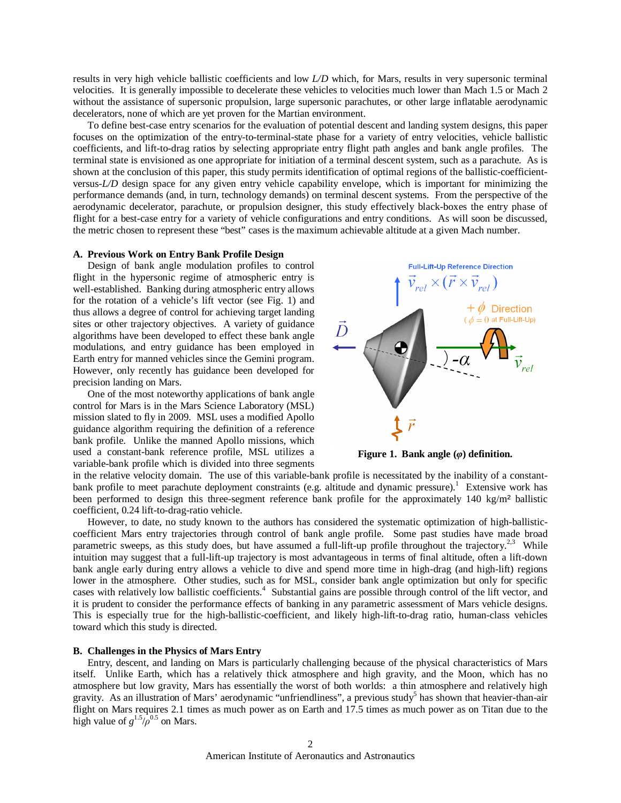results in very high vehicle ballistic coefficients and low *L/D* which, for Mars, results in very supersonic terminal velocities. It is generally impossible to decelerate these vehicles to velocities much lower than Mach 1.5 or Mach 2 without the assistance of supersonic propulsion, large supersonic parachutes, or other large inflatable aerodynamic decelerators, none of which are yet proven for the Martian environment.

To define best-case entry scenarios for the evaluation of potential descent and landing system designs, this paper focuses on the optimization of the entry-to-terminal-state phase for a variety of entry velocities, vehicle ballistic coefficients, and lift-to-drag ratios by selecting appropriate entry flight path angles and bank angle profiles. The terminal state is envisioned as one appropriate for initiation of a terminal descent system, such as a parachute. As is shown at the conclusion of this paper, this study permits identification of optimal regions of the ballistic-coefficientversus-*L/D* design space for any given entry vehicle capability envelope, which is important for minimizing the performance demands (and, in turn, technology demands) on terminal descent systems. From the perspective of the aerodynamic decelerator, parachute, or propulsion designer, this study effectively black-boxes the entry phase of flight for a best-case entry for a variety of vehicle configurations and entry conditions. As will soon be discussed, the metric chosen to represent these "best" cases is the maximum achievable altitude at a given Mach number.

#### **A. Previous Work on Entry Bank Profile Design**

Design of bank angle modulation profiles to control flight in the hypersonic regime of atmospheric entry is well-established. Banking during atmospheric entry allows for the rotation of a vehicle's lift vector (see Fig. 1) and thus allows a degree of control for achieving target landing sites or other trajectory objectives. A variety of guidance algorithms have been developed to effect these bank angle modulations, and entry guidance has been employed in Earth entry for manned vehicles since the Gemini program. However, only recently has guidance been developed for precision landing on Mars.

One of the most noteworthy applications of bank angle control for Mars is in the Mars Science Laboratory (MSL) mission slated to fly in 2009. MSL uses a modified Apollo guidance algorithm requiring the definition of a reference bank profile. Unlike the manned Apollo missions, which used a constant-bank reference profile, MSL utilizes a variable-bank profile which is divided into three segments



**Figure 1. Bank angle (**φ**) definition.** 

in the relative velocity domain. The use of this variable-bank profile is necessitated by the inability of a constantbank profile to meet parachute deployment constraints (e.g. altitude and dynamic pressure).<sup>1</sup> Extensive work has been performed to design this three-segment reference bank profile for the approximately 140 kg/m<sup>2</sup> ballistic coefficient, 0.24 lift-to-drag-ratio vehicle.

However, to date, no study known to the authors has considered the systematic optimization of high-ballisticcoefficient Mars entry trajectories through control of bank angle profile. Some past studies have made broad parametric sweeps, as this study does, but have assumed a full-lift-up profile throughout the trajectory.<sup>2,3</sup> While intuition may suggest that a full-lift-up trajectory is most advantageous in terms of final altitude, often a lift-down bank angle early during entry allows a vehicle to dive and spend more time in high-drag (and high-lift) regions lower in the atmosphere. Other studies, such as for MSL, consider bank angle optimization but only for specific cases with relatively low ballistic coefficients.<sup>4</sup> Substantial gains are possible through control of the lift vector, and it is prudent to consider the performance effects of banking in any parametric assessment of Mars vehicle designs. This is especially true for the high-ballistic-coefficient, and likely high-lift-to-drag ratio, human-class vehicles toward which this study is directed.

## **B. Challenges in the Physics of Mars Entry**

Entry, descent, and landing on Mars is particularly challenging because of the physical characteristics of Mars itself. Unlike Earth, which has a relatively thick atmosphere and high gravity, and the Moon, which has no atmosphere but low gravity, Mars has essentially the worst of both worlds: a thin atmosphere and relatively high gravity. As an illustration of Mars' aerodynamic "unfriendliness", a previous study<sup>5</sup> has shown that heavier-than-air flight on Mars requires 2.1 times as much power as on Earth and 17.5 times as much power as on Titan due to the high value of  $g^{1.5}/\rho^{0.5}$  on Mars.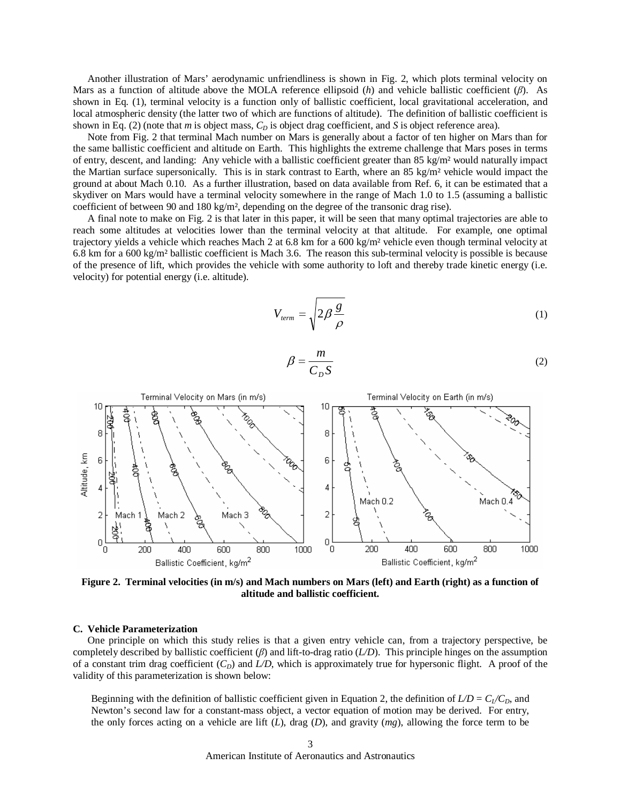Another illustration of Mars' aerodynamic unfriendliness is shown in Fig. 2, which plots terminal velocity on Mars as a function of altitude above the MOLA reference ellipsoid (*h*) and vehicle ballistic coefficient (β). As shown in Eq. (1), terminal velocity is a function only of ballistic coefficient, local gravitational acceleration, and local atmospheric density (the latter two of which are functions of altitude). The definition of ballistic coefficient is shown in Eq. (2) (note that *m* is object mass, *C<sup>D</sup>* is object drag coefficient, and *S* is object reference area).

Note from Fig. 2 that terminal Mach number on Mars is generally about a factor of ten higher on Mars than for the same ballistic coefficient and altitude on Earth. This highlights the extreme challenge that Mars poses in terms of entry, descent, and landing: Any vehicle with a ballistic coefficient greater than 85 kg/m² would naturally impact the Martian surface supersonically. This is in stark contrast to Earth, where an 85 kg/m<sup>2</sup> vehicle would impact the ground at about Mach 0.10. As a further illustration, based on data available from Ref. 6, it can be estimated that a skydiver on Mars would have a terminal velocity somewhere in the range of Mach 1.0 to 1.5 (assuming a ballistic coefficient of between 90 and 180 kg/m², depending on the degree of the transonic drag rise).

A final note to make on Fig. 2 is that later in this paper, it will be seen that many optimal trajectories are able to reach some altitudes at velocities lower than the terminal velocity at that altitude. For example, one optimal trajectory yields a vehicle which reaches Mach 2 at 6.8 km for a 600 kg/m² vehicle even though terminal velocity at 6.8 km for a 600 kg/m<sup>2</sup> ballistic coefficient is Mach 3.6. The reason this sub-terminal velocity is possible is because of the presence of lift, which provides the vehicle with some authority to loft and thereby trade kinetic energy (i.e. velocity) for potential energy (i.e. altitude).

$$
V_{term} = \sqrt{2\beta \frac{g}{\rho}}
$$
 (1)

$$
\beta = \frac{m}{C_D S} \tag{2}
$$



**Figure 2. Terminal velocities (in m/s) and Mach numbers on Mars (left) and Earth (right) as a function of altitude and ballistic coefficient.** 

## **C. Vehicle Parameterization**

One principle on which this study relies is that a given entry vehicle can, from a trajectory perspective, be completely described by ballistic coefficient (β) and lift-to-drag ratio (*L/D*). This principle hinges on the assumption of a constant trim drag coefficient  $(C_D)$  and  $L/D$ , which is approximately true for hypersonic flight. A proof of the validity of this parameterization is shown below:

Beginning with the definition of ballistic coefficient given in Equation 2, the definition of  $LD = C_l/C_D$ , and Newton's second law for a constant-mass object, a vector equation of motion may be derived. For entry, the only forces acting on a vehicle are lift (*L*), drag (*D*), and gravity (*mg*), allowing the force term to be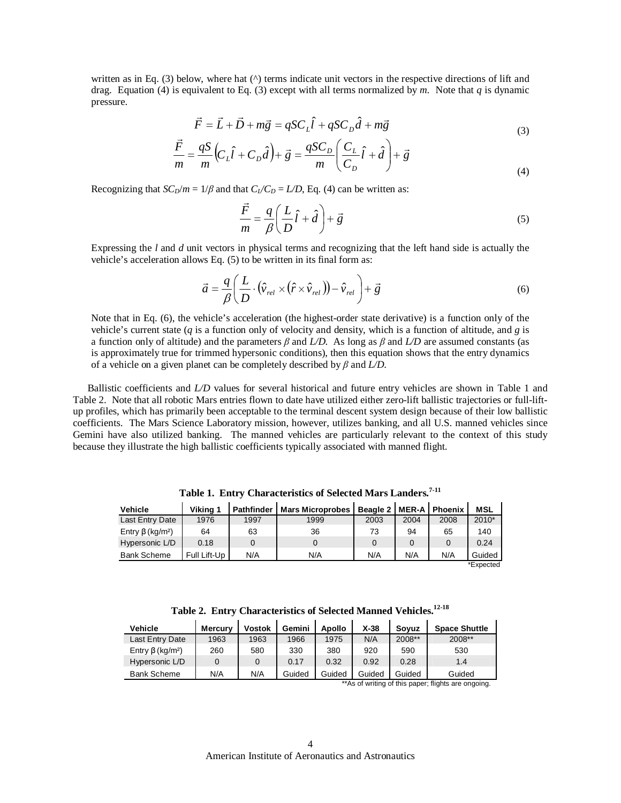written as in Eq. (3) below, where hat ( $\land$ ) terms indicate unit vectors in the respective directions of lift and drag. Equation (4) is equivalent to Eq. (3) except with all terms normalized by *m*. Note that *q* is dynamic pressure.

$$
\vec{F} = \vec{L} + \vec{D} + m\vec{g} = qSC_L\hat{l} + qSC_D\hat{d} + m\vec{g}
$$
\n(3)

$$
\frac{\vec{F}}{m} = \frac{qS}{m} \left( C_L \hat{l} + C_D \hat{d} \right) + \vec{g} = \frac{qSC_D}{m} \left( \frac{C_L}{C_D} \hat{l} + \hat{d} \right) + \vec{g}
$$
\n(4)

Recognizing that  $SC_D/m = 1/\beta$  and that  $C_L/C_D = L/D$ , Eq. (4) can be written as:

$$
\frac{\vec{F}}{m} = \frac{q}{\beta} \left( \frac{L}{D} \hat{l} + \hat{d} \right) + \vec{g}
$$
\n(5)

Expressing the *l* and *d* unit vectors in physical terms and recognizing that the left hand side is actually the vehicle's acceleration allows Eq. (5) to be written in its final form as:

$$
\vec{a} = \frac{q}{\beta} \left( \frac{L}{D} \cdot (\hat{v}_{rel} \times (\hat{r} \times \hat{v}_{rel})) - \hat{v}_{rel} \right) + \vec{g}
$$
(6)

Note that in Eq. (6), the vehicle's acceleration (the highest-order state derivative) is a function only of the vehicle's current state (*q* is a function only of velocity and density, which is a function of altitude, and *g* is a function only of altitude) and the parameters  $\beta$  and  $L/D$ . As long as  $\beta$  and  $L/D$  are assumed constants (as is approximately true for trimmed hypersonic conditions), then this equation shows that the entry dynamics of a vehicle on a given planet can be completely described by β and *L/D*.

Ballistic coefficients and *L/D* values for several historical and future entry vehicles are shown in Table 1 and Table 2. Note that all robotic Mars entries flown to date have utilized either zero-lift ballistic trajectories or full-liftup profiles, which has primarily been acceptable to the terminal descent system design because of their low ballistic coefficients. The Mars Science Laboratory mission, however, utilizes banking, and all U.S. manned vehicles since Gemini have also utilized banking. The manned vehicles are particularly relevant to the context of this study because they illustrate the high ballistic coefficients typically associated with manned flight.

| <b>Vehicle</b>                     | Viking 1     | <b>Pathfinder</b> | <b>Mars Microprobes</b> | Beagle 2   MER-A   Phoenix |      |      | <b>MSL</b> |
|------------------------------------|--------------|-------------------|-------------------------|----------------------------|------|------|------------|
| Last Entry Date                    | 1976         | 1997              | 1999                    | 2003                       | 2004 | 2008 | 2010*      |
| Entry $\beta$ (kg/m <sup>2</sup> ) | 64           | 63                | 36                      | 73                         | 94   | 65   | 140        |
| Hypersonic L/D                     | 0.18         | 0                 |                         | $\Omega$                   |      | 0    | 0.24       |
| <b>Bank Scheme</b>                 | Full Lift-Up | N/A               | N/A                     | N/A                        | N/A  | N/A  | Guided     |
|                                    |              |                   |                         |                            |      |      | *Expected  |

**Table 1. Entry Characteristics of Selected Mars Landers. 7-11**

**Table 2. Entry Characteristics of Selected Manned Vehicles. 12-18**

| Vehicle                            | <b>Mercury</b> | <b>Vostok</b> | Gemini | <b>Apollo</b> | $X-38$ | Sovuz  | <b>Space Shuttle</b> |
|------------------------------------|----------------|---------------|--------|---------------|--------|--------|----------------------|
| Last Entry Date                    | 1963           | 1963          | 1966   | 1975          | N/A    | 2008** | 2008**               |
| Entry $\beta$ (kg/m <sup>2</sup> ) | 260            | 580           | 330    | 380           | 920    | 590    | 530                  |
| Hypersonic L/D                     |                |               | 0.17   | 0.32          | 0.92   | 0.28   | 1.4                  |
| <b>Bank Scheme</b>                 | N/A            | N/A           | Guided | Guided        | Guided | Guided | Guided               |

\*\*As of writing of this paper; flights are ongoing.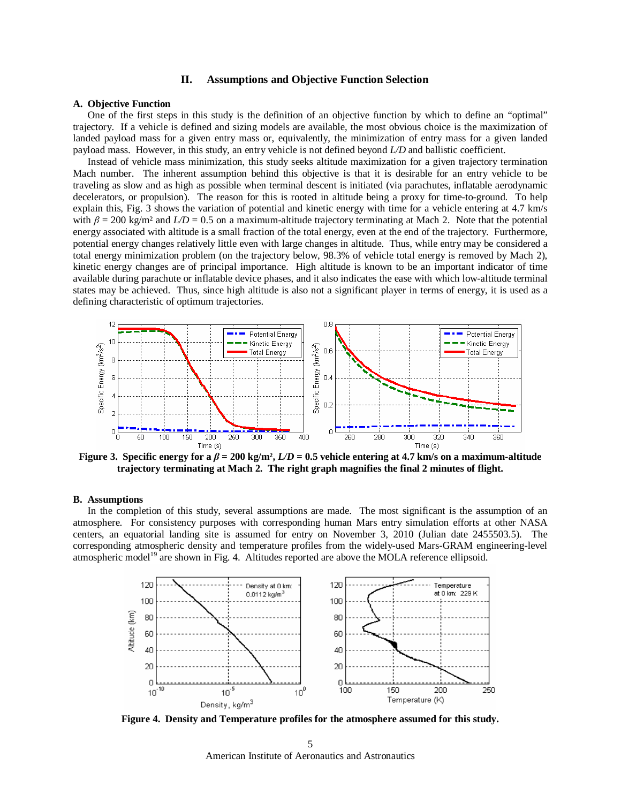# **II. Assumptions and Objective Function Selection**

### **A. Objective Function**

One of the first steps in this study is the definition of an objective function by which to define an "optimal" trajectory. If a vehicle is defined and sizing models are available, the most obvious choice is the maximization of landed payload mass for a given entry mass or, equivalently, the minimization of entry mass for a given landed payload mass. However, in this study, an entry vehicle is not defined beyond *L/D* and ballistic coefficient.

Instead of vehicle mass minimization, this study seeks altitude maximization for a given trajectory termination Mach number. The inherent assumption behind this objective is that it is desirable for an entry vehicle to be traveling as slow and as high as possible when terminal descent is initiated (via parachutes, inflatable aerodynamic decelerators, or propulsion). The reason for this is rooted in altitude being a proxy for time-to-ground. To help explain this, Fig. 3 shows the variation of potential and kinetic energy with time for a vehicle entering at 4.7 km/s with  $\beta = 200$  kg/m<sup>2</sup> and  $L/D = 0.5$  on a maximum-altitude trajectory terminating at Mach 2. Note that the potential energy associated with altitude is a small fraction of the total energy, even at the end of the trajectory. Furthermore, potential energy changes relatively little even with large changes in altitude. Thus, while entry may be considered a total energy minimization problem (on the trajectory below, 98.3% of vehicle total energy is removed by Mach 2), kinetic energy changes are of principal importance. High altitude is known to be an important indicator of time available during parachute or inflatable device phases, and it also indicates the ease with which low-altitude terminal states may be achieved. Thus, since high altitude is also not a significant player in terms of energy, it is used as a defining characteristic of optimum trajectories.



**Figure 3.** Specific energy for a  $\beta = 200 \text{ kg/m}^2$ ,  $L/D = 0.5$  vehicle entering at 4.7 km/s on a maximum-altitude **trajectory terminating at Mach 2. The right graph magnifies the final 2 minutes of flight.** 

## **B. Assumptions**

In the completion of this study, several assumptions are made. The most significant is the assumption of an atmosphere. For consistency purposes with corresponding human Mars entry simulation efforts at other NASA centers, an equatorial landing site is assumed for entry on November 3, 2010 (Julian date 2455503.5). The corresponding atmospheric density and temperature profiles from the widely-used Mars-GRAM engineering-level atmospheric model<sup>19</sup> are shown in Fig. 4. Altitudes reported are above the MOLA reference ellipsoid.



**Figure 4. Density and Temperature profiles for the atmosphere assumed for this study.**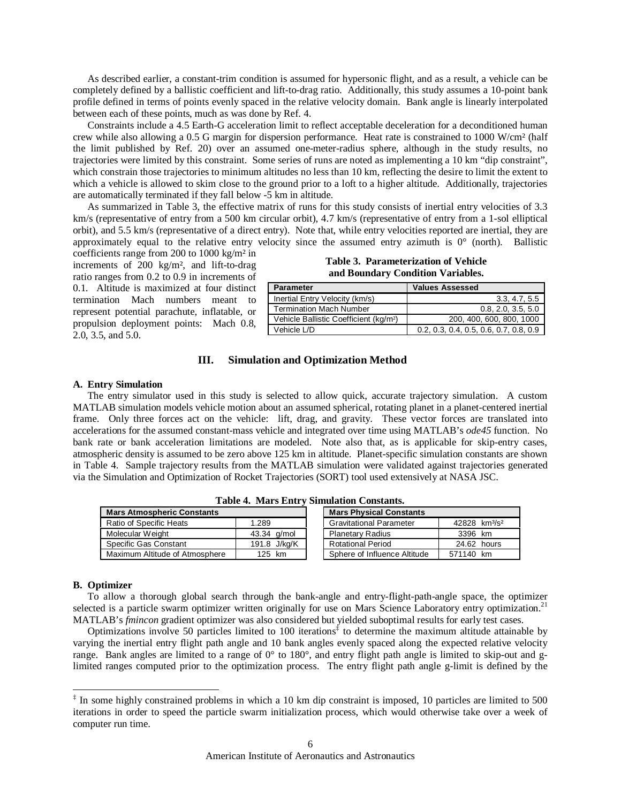As described earlier, a constant-trim condition is assumed for hypersonic flight, and as a result, a vehicle can be completely defined by a ballistic coefficient and lift-to-drag ratio. Additionally, this study assumes a 10-point bank profile defined in terms of points evenly spaced in the relative velocity domain. Bank angle is linearly interpolated between each of these points, much as was done by Ref. 4.

Constraints include a 4.5 Earth-G acceleration limit to reflect acceptable deceleration for a deconditioned human crew while also allowing a 0.5 G margin for dispersion performance. Heat rate is constrained to 1000 W/cm² (half the limit published by Ref. 20) over an assumed one-meter-radius sphere, although in the study results, no trajectories were limited by this constraint. Some series of runs are noted as implementing a 10 km "dip constraint", which constrain those trajectories to minimum altitudes no less than 10 km, reflecting the desire to limit the extent to which a vehicle is allowed to skim close to the ground prior to a loft to a higher altitude. Additionally, trajectories are automatically terminated if they fall below -5 km in altitude.

As summarized in Table 3, the effective matrix of runs for this study consists of inertial entry velocities of 3.3 km/s (representative of entry from a 500 km circular orbit), 4.7 km/s (representative of entry from a 1-sol elliptical orbit), and 5.5 km/s (representative of a direct entry). Note that, while entry velocities reported are inertial, they are approximately equal to the relative entry velocity since the assumed entry azimuth is  $0^{\circ}$  (north). Ballistic

coefficients range from 200 to 1000 kg/m² in increments of 200 kg/m², and lift-to-drag ratio ranges from 0.2 to 0.9 in increments of 0.1. Altitude is maximized at four distinct termination Mach numbers meant to represent potential parachute, inflatable, or propulsion deployment points: Mach 0.8, 2.0, 3.5, and 5.0.

**Table 3. Parameterization of Vehicle and Boundary Condition Variables.** 

| <b>Parameter</b>                                   | <b>Values Assessed</b>                   |  |  |
|----------------------------------------------------|------------------------------------------|--|--|
| Inertial Entry Velocity (km/s)                     | 3.3, 4.7, 5.5                            |  |  |
| Termination Mach Number                            | 0.8, 2.0, 3.5, 5.0                       |  |  |
| Vehicle Ballistic Coefficient (kg/m <sup>2</sup> ) | 200, 400, 600, 800, 1000                 |  |  |
| Vehicle L/D                                        | $0.2, 0.3, 0.4, 0.5, 0.6, 0.7, 0.8, 0.9$ |  |  |

# **III. Simulation and Optimization Method**

### **A. Entry Simulation**

The entry simulator used in this study is selected to allow quick, accurate trajectory simulation. A custom MATLAB simulation models vehicle motion about an assumed spherical, rotating planet in a planet-centered inertial frame. Only three forces act on the vehicle: lift, drag, and gravity. These vector forces are translated into accelerations for the assumed constant-mass vehicle and integrated over time using MATLAB's *ode45* function. No bank rate or bank acceleration limitations are modeled. Note also that, as is applicable for skip-entry cases, atmospheric density is assumed to be zero above 125 km in altitude. Planet-specific simulation constants are shown in Table 4. Sample trajectory results from the MATLAB simulation were validated against trajectories generated via the Simulation and Optimization of Rocket Trajectories (SORT) tool used extensively at NASA JSC.

| <b>Mars Atmospheric Constants</b> |              | <b>Mars Physical Constants</b> |                                       |  |
|-----------------------------------|--------------|--------------------------------|---------------------------------------|--|
| Ratio of Specific Heats           | 1.289        | <b>Gravitational Parameter</b> | 42828 km <sup>3</sup> /s <sup>2</sup> |  |
| Molecular Weight                  | 43.34 g/mol  | <b>Planetary Radius</b>        | 3396 km                               |  |
| Specific Gas Constant             | 191.8 J/kg/K | <b>Rotational Period</b>       | 24.62 hours                           |  |
| Maximum Altitude of Atmosphere    | 125 km       | Sphere of Influence Altitude   | 571140 km                             |  |

**Table 4. Mars Entry Simulation Constants.** 

### **B. Optimizer**

-

To allow a thorough global search through the bank-angle and entry-flight-path-angle space, the optimizer selected is a particle swarm optimizer written originally for use on Mars Science Laboratory entry optimization.<sup>21</sup> MATLAB's *fmincon* gradient optimizer was also considered but yielded suboptimal results for early test cases.

Optimizations involve 50 particles limited to 100 iterations<sup> $\frac{1}{3}$ </sup> to determine the maximum altitude attainable by varying the inertial entry flight path angle and 10 bank angles evenly spaced along the expected relative velocity range. Bank angles are limited to a range of 0° to 180°, and entry flight path angle is limited to skip-out and glimited ranges computed prior to the optimization process. The entry flight path angle g-limit is defined by the

<sup>&</sup>lt;sup>‡</sup> In some highly constrained problems in which a 10 km dip constraint is imposed, 10 particles are limited to 500 iterations in order to speed the particle swarm initialization process, which would otherwise take over a week of computer run time.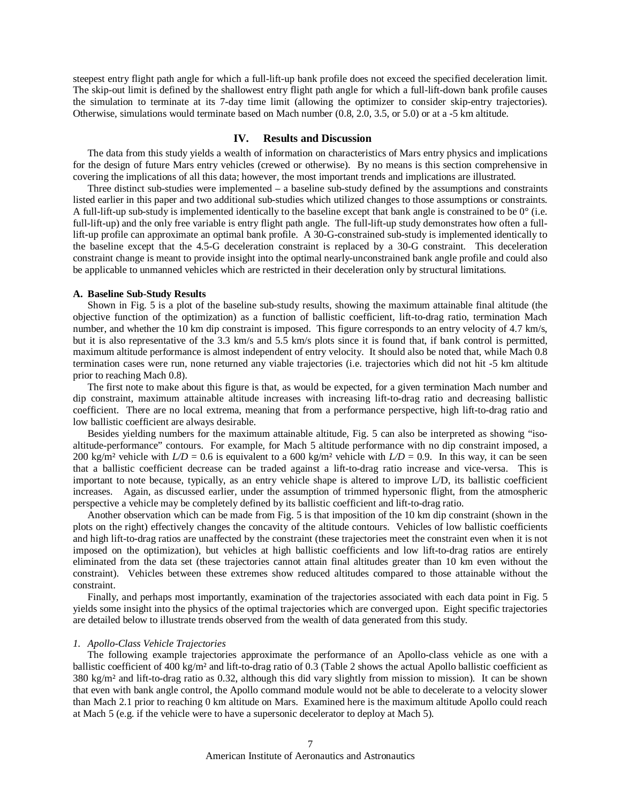steepest entry flight path angle for which a full-lift-up bank profile does not exceed the specified deceleration limit. The skip-out limit is defined by the shallowest entry flight path angle for which a full-lift-down bank profile causes the simulation to terminate at its 7-day time limit (allowing the optimizer to consider skip-entry trajectories). Otherwise, simulations would terminate based on Mach number (0.8, 2.0, 3.5, or 5.0) or at a -5 km altitude.

## **IV. Results and Discussion**

The data from this study yields a wealth of information on characteristics of Mars entry physics and implications for the design of future Mars entry vehicles (crewed or otherwise). By no means is this section comprehensive in covering the implications of all this data; however, the most important trends and implications are illustrated.

Three distinct sub-studies were implemented – a baseline sub-study defined by the assumptions and constraints listed earlier in this paper and two additional sub-studies which utilized changes to those assumptions or constraints. A full-lift-up sub-study is implemented identically to the baseline except that bank angle is constrained to be  $0^{\circ}$  (i.e. full-lift-up) and the only free variable is entry flight path angle. The full-lift-up study demonstrates how often a fulllift-up profile can approximate an optimal bank profile. A 30-G-constrained sub-study is implemented identically to the baseline except that the 4.5-G deceleration constraint is replaced by a 30-G constraint. This deceleration constraint change is meant to provide insight into the optimal nearly-unconstrained bank angle profile and could also be applicable to unmanned vehicles which are restricted in their deceleration only by structural limitations.

#### **A. Baseline Sub-Study Results**

Shown in Fig. 5 is a plot of the baseline sub-study results, showing the maximum attainable final altitude (the objective function of the optimization) as a function of ballistic coefficient, lift-to-drag ratio, termination Mach number, and whether the 10 km dip constraint is imposed. This figure corresponds to an entry velocity of 4.7 km/s, but it is also representative of the 3.3 km/s and 5.5 km/s plots since it is found that, if bank control is permitted, maximum altitude performance is almost independent of entry velocity. It should also be noted that, while Mach 0.8 termination cases were run, none returned any viable trajectories (i.e. trajectories which did not hit -5 km altitude prior to reaching Mach 0.8).

The first note to make about this figure is that, as would be expected, for a given termination Mach number and dip constraint, maximum attainable altitude increases with increasing lift-to-drag ratio and decreasing ballistic coefficient. There are no local extrema, meaning that from a performance perspective, high lift-to-drag ratio and low ballistic coefficient are always desirable.

Besides yielding numbers for the maximum attainable altitude, Fig. 5 can also be interpreted as showing "isoaltitude-performance" contours. For example, for Mach 5 altitude performance with no dip constraint imposed, a 200 kg/m<sup>2</sup> vehicle with  $LD = 0.6$  is equivalent to a 600 kg/m<sup>2</sup> vehicle with  $LD = 0.9$ . In this way, it can be seen that a ballistic coefficient decrease can be traded against a lift-to-drag ratio increase and vice-versa. This is important to note because, typically, as an entry vehicle shape is altered to improve L/D, its ballistic coefficient increases. Again, as discussed earlier, under the assumption of trimmed hypersonic flight, from the atmospheric perspective a vehicle may be completely defined by its ballistic coefficient and lift-to-drag ratio.

Another observation which can be made from Fig. 5 is that imposition of the 10 km dip constraint (shown in the plots on the right) effectively changes the concavity of the altitude contours. Vehicles of low ballistic coefficients and high lift-to-drag ratios are unaffected by the constraint (these trajectories meet the constraint even when it is not imposed on the optimization), but vehicles at high ballistic coefficients and low lift-to-drag ratios are entirely eliminated from the data set (these trajectories cannot attain final altitudes greater than 10 km even without the constraint). Vehicles between these extremes show reduced altitudes compared to those attainable without the constraint.

Finally, and perhaps most importantly, examination of the trajectories associated with each data point in Fig. 5 yields some insight into the physics of the optimal trajectories which are converged upon. Eight specific trajectories are detailed below to illustrate trends observed from the wealth of data generated from this study.

## *1. Apollo-Class Vehicle Trajectories*

The following example trajectories approximate the performance of an Apollo-class vehicle as one with a ballistic coefficient of 400 kg/m² and lift-to-drag ratio of 0.3 (Table 2 shows the actual Apollo ballistic coefficient as 380 kg/m² and lift-to-drag ratio as 0.32, although this did vary slightly from mission to mission). It can be shown that even with bank angle control, the Apollo command module would not be able to decelerate to a velocity slower than Mach 2.1 prior to reaching 0 km altitude on Mars. Examined here is the maximum altitude Apollo could reach at Mach 5 (e.g. if the vehicle were to have a supersonic decelerator to deploy at Mach 5).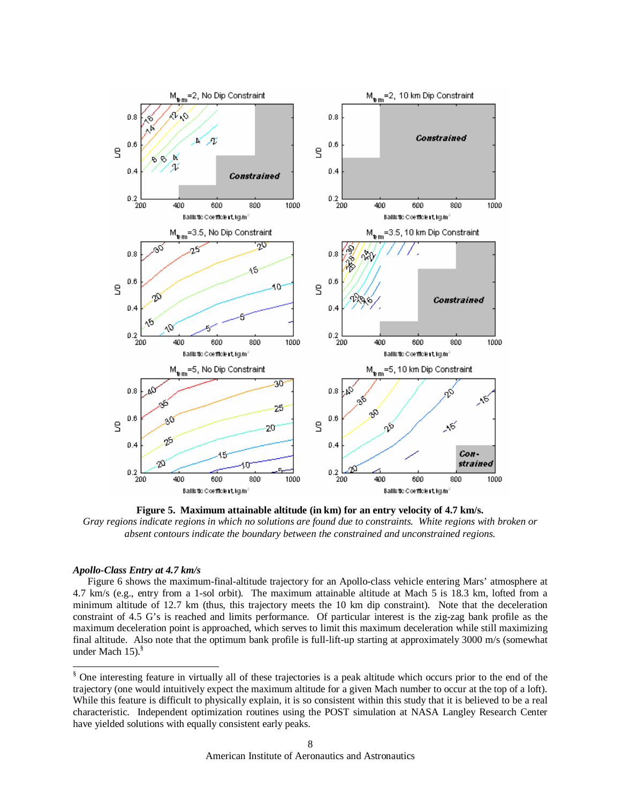

**Figure 5. Maximum attainable altitude (in km) for an entry velocity of 4.7 km/s.**  *Gray regions indicate regions in which no solutions are found due to constraints. White regions with broken or absent contours indicate the boundary between the constrained and unconstrained regions.*

## *Apollo-Class Entry at 4.7 km/s*

1

Figure 6 shows the maximum-final-altitude trajectory for an Apollo-class vehicle entering Mars' atmosphere at 4.7 km/s (e.g., entry from a 1-sol orbit). The maximum attainable altitude at Mach 5 is 18.3 km, lofted from a minimum altitude of 12.7 km (thus, this trajectory meets the 10 km dip constraint). Note that the deceleration constraint of 4.5 G's is reached and limits performance. Of particular interest is the zig-zag bank profile as the maximum deceleration point is approached, which serves to limit this maximum deceleration while still maximizing final altitude. Also note that the optimum bank profile is full-lift-up starting at approximately 3000 m/s (somewhat under Mach 15).<sup>§</sup>

<sup>§</sup> One interesting feature in virtually all of these trajectories is a peak altitude which occurs prior to the end of the trajectory (one would intuitively expect the maximum altitude for a given Mach number to occur at the top of a loft). While this feature is difficult to physically explain, it is so consistent within this study that it is believed to be a real characteristic. Independent optimization routines using the POST simulation at NASA Langley Research Center have yielded solutions with equally consistent early peaks.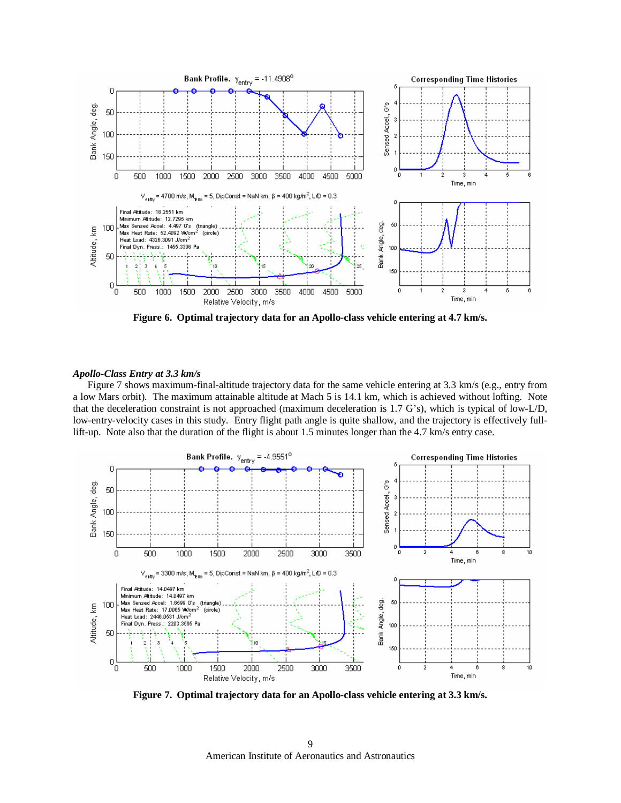

**Figure 6. Optimal trajectory data for an Apollo-class vehicle entering at 4.7 km/s.** 

## *Apollo-Class Entry at 3.3 km/s*

Figure 7 shows maximum-final-altitude trajectory data for the same vehicle entering at 3.3 km/s (e.g., entry from a low Mars orbit). The maximum attainable altitude at Mach 5 is 14.1 km, which is achieved without lofting. Note that the deceleration constraint is not approached (maximum deceleration is 1.7 G's), which is typical of low-L/D, low-entry-velocity cases in this study. Entry flight path angle is quite shallow, and the trajectory is effectively fulllift-up. Note also that the duration of the flight is about 1.5 minutes longer than the 4.7 km/s entry case.



**Figure 7. Optimal trajectory data for an Apollo-class vehicle entering at 3.3 km/s.**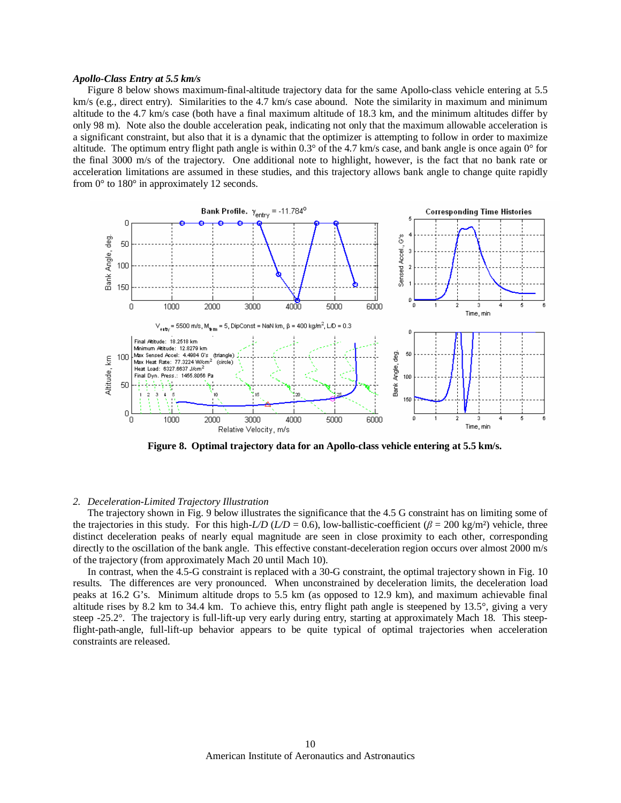### *Apollo-Class Entry at 5.5 km/s*

Figure 8 below shows maximum-final-altitude trajectory data for the same Apollo-class vehicle entering at 5.5 km/s (e.g., direct entry). Similarities to the 4.7 km/s case abound. Note the similarity in maximum and minimum altitude to the 4.7 km/s case (both have a final maximum altitude of 18.3 km, and the minimum altitudes differ by only 98 m). Note also the double acceleration peak, indicating not only that the maximum allowable acceleration is a significant constraint, but also that it is a dynamic that the optimizer is attempting to follow in order to maximize altitude. The optimum entry flight path angle is within 0.3° of the 4.7 km/s case, and bank angle is once again 0° for the final 3000 m/s of the trajectory. One additional note to highlight, however, is the fact that no bank rate or acceleration limitations are assumed in these studies, and this trajectory allows bank angle to change quite rapidly from 0° to 180° in approximately 12 seconds.



**Figure 8. Optimal trajectory data for an Apollo-class vehicle entering at 5.5 km/s.** 

## *2. Deceleration-Limited Trajectory Illustration*

The trajectory shown in Fig. 9 below illustrates the significance that the 4.5 G constraint has on limiting some of the trajectories in this study. For this high-*L/D* (*L/D* = 0.6), low-ballistic-coefficient ( $\beta$  = 200 kg/m<sup>2</sup>) vehicle, three distinct deceleration peaks of nearly equal magnitude are seen in close proximity to each other, corresponding directly to the oscillation of the bank angle. This effective constant-deceleration region occurs over almost 2000 m/s of the trajectory (from approximately Mach 20 until Mach 10).

In contrast, when the 4.5-G constraint is replaced with a 30-G constraint, the optimal trajectory shown in Fig. 10 results. The differences are very pronounced. When unconstrained by deceleration limits, the deceleration load peaks at 16.2 G's. Minimum altitude drops to 5.5 km (as opposed to 12.9 km), and maximum achievable final altitude rises by 8.2 km to 34.4 km. To achieve this, entry flight path angle is steepened by 13.5°, giving a very steep -25.2°. The trajectory is full-lift-up very early during entry, starting at approximately Mach 18. This steepflight-path-angle, full-lift-up behavior appears to be quite typical of optimal trajectories when acceleration constraints are released.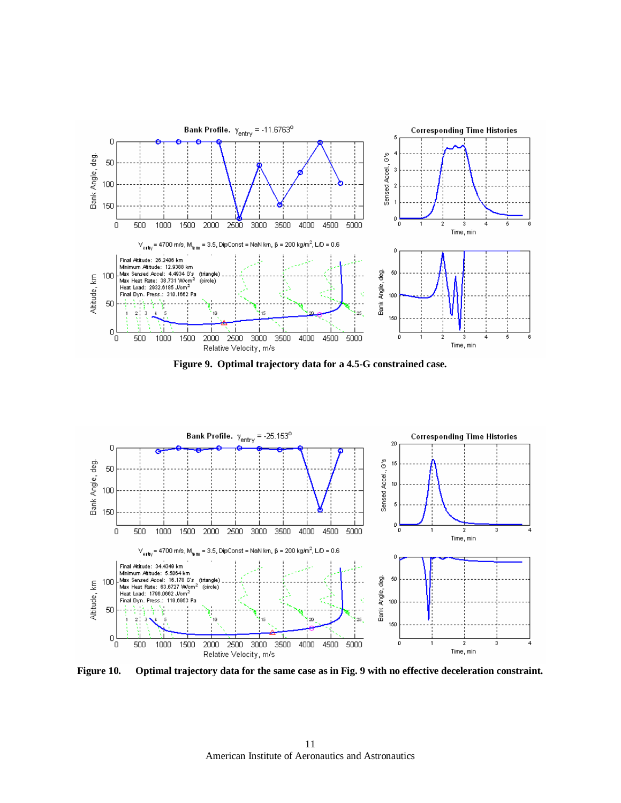





**Figure 10. Optimal trajectory data for the same case as in Fig. 9 with no effective deceleration constraint.**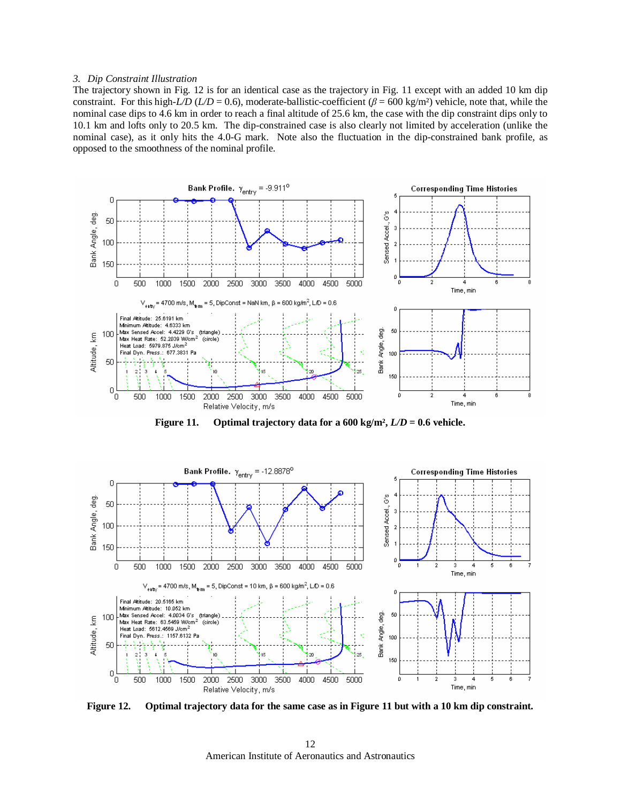#### *3. Dip Constraint Illustration*

The trajectory shown in Fig. 12 is for an identical case as the trajectory in Fig. 11 except with an added 10 km dip constraint. For this high-*L/D* (*L/D* = 0.6), moderate-ballistic-coefficient ( $\beta$  = 600 kg/m<sup>2</sup>) vehicle, note that, while the nominal case dips to 4.6 km in order to reach a final altitude of 25.6 km, the case with the dip constraint dips only to 10.1 km and lofts only to 20.5 km. The dip-constrained case is also clearly not limited by acceleration (unlike the nominal case), as it only hits the 4.0-G mark. Note also the fluctuation in the dip-constrained bank profile, as opposed to the smoothness of the nominal profile.



**Figure 11. Optimal trajectory data for a 600 kg/m²,** *L/D* **= 0.6 vehicle.** 



**Figure 12. Optimal trajectory data for the same case as in Figure 11 but with a 10 km dip constraint.** 

American Institute of Aeronautics and Astronautics 12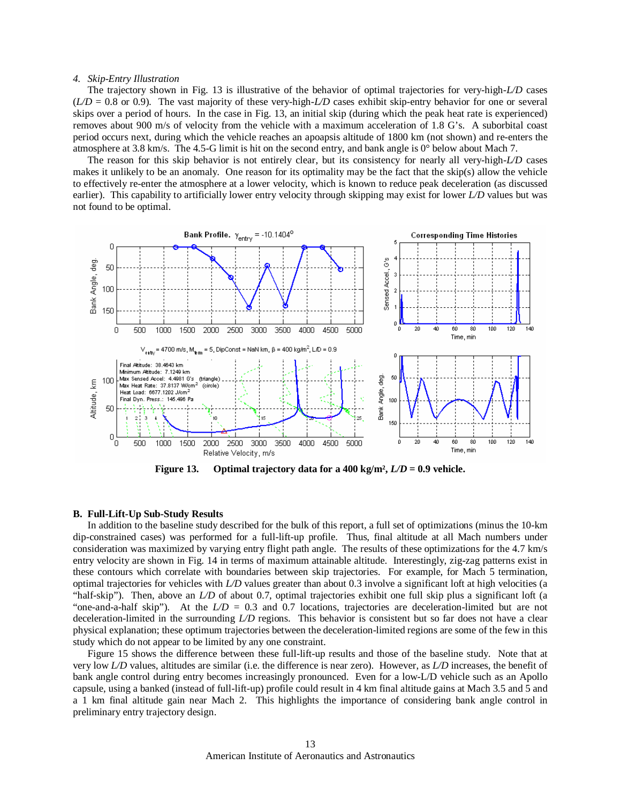#### *4. Skip-Entry Illustration*

The trajectory shown in Fig. 13 is illustrative of the behavior of optimal trajectories for very-high-*L/D* cases  $(L/D = 0.8$  or 0.9). The vast majority of these very-high- $L/D$  cases exhibit skip-entry behavior for one or several skips over a period of hours. In the case in Fig. 13, an initial skip (during which the peak heat rate is experienced) removes about 900 m/s of velocity from the vehicle with a maximum acceleration of 1.8 G's. A suborbital coast period occurs next, during which the vehicle reaches an apoapsis altitude of 1800 km (not shown) and re-enters the atmosphere at 3.8 km/s. The 4.5-G limit is hit on the second entry, and bank angle is 0° below about Mach 7.

The reason for this skip behavior is not entirely clear, but its consistency for nearly all very-high-*L/D* cases makes it unlikely to be an anomaly. One reason for its optimality may be the fact that the skip(s) allow the vehicle to effectively re-enter the atmosphere at a lower velocity, which is known to reduce peak deceleration (as discussed earlier). This capability to artificially lower entry velocity through skipping may exist for lower *L/D* values but was not found to be optimal.



**Figure 13. Optimal trajectory data for a 400 kg/m²,** *L/D* **= 0.9 vehicle.** 

## **B. Full-Lift-Up Sub-Study Results**

In addition to the baseline study described for the bulk of this report, a full set of optimizations (minus the 10-km dip-constrained cases) was performed for a full-lift-up profile. Thus, final altitude at all Mach numbers under consideration was maximized by varying entry flight path angle. The results of these optimizations for the 4.7 km/s entry velocity are shown in Fig. 14 in terms of maximum attainable altitude. Interestingly, zig-zag patterns exist in these contours which correlate with boundaries between skip trajectories. For example, for Mach 5 termination, optimal trajectories for vehicles with *L/D* values greater than about 0.3 involve a significant loft at high velocities (a "half-skip"). Then, above an *L/D* of about 0.7, optimal trajectories exhibit one full skip plus a significant loft (a "one-and-a-half skip"). At the *L/D* = 0.3 and 0.7 locations, trajectories are deceleration-limited but are not deceleration-limited in the surrounding *L/D* regions. This behavior is consistent but so far does not have a clear physical explanation; these optimum trajectories between the deceleration-limited regions are some of the few in this study which do not appear to be limited by any one constraint.

Figure 15 shows the difference between these full-lift-up results and those of the baseline study. Note that at very low *L/D* values, altitudes are similar (i.e. the difference is near zero). However, as *L/D* increases, the benefit of bank angle control during entry becomes increasingly pronounced. Even for a low-L/D vehicle such as an Apollo capsule, using a banked (instead of full-lift-up) profile could result in 4 km final altitude gains at Mach 3.5 and 5 and a 1 km final altitude gain near Mach 2. This highlights the importance of considering bank angle control in preliminary entry trajectory design.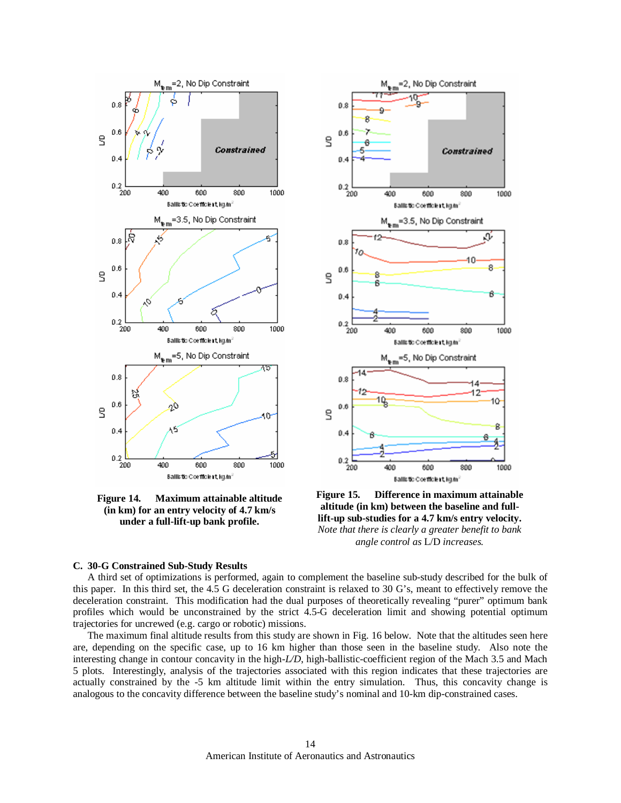

**Figure 14. Maximum attainable altitude (in km) for an entry velocity of 4.7 km/s under a full-lift-up bank profile.** 



**Figure 15. Difference in maximum attainable altitude (in km) between the baseline and fulllift-up sub-studies for a 4.7 km/s entry velocity.**  *Note that there is clearly a greater benefit to bank angle control as* L/D *increases.* 

#### **C. 30-G Constrained Sub-Study Results**

A third set of optimizations is performed, again to complement the baseline sub-study described for the bulk of this paper. In this third set, the 4.5 G deceleration constraint is relaxed to 30 G's, meant to effectively remove the deceleration constraint. This modification had the dual purposes of theoretically revealing "purer" optimum bank profiles which would be unconstrained by the strict 4.5-G deceleration limit and showing potential optimum trajectories for uncrewed (e.g. cargo or robotic) missions.

The maximum final altitude results from this study are shown in Fig. 16 below. Note that the altitudes seen here are, depending on the specific case, up to 16 km higher than those seen in the baseline study. Also note the interesting change in contour concavity in the high-*L/D*, high-ballistic-coefficient region of the Mach 3.5 and Mach 5 plots. Interestingly, analysis of the trajectories associated with this region indicates that these trajectories are actually constrained by the -5 km altitude limit within the entry simulation. Thus, this concavity change is analogous to the concavity difference between the baseline study's nominal and 10-km dip-constrained cases.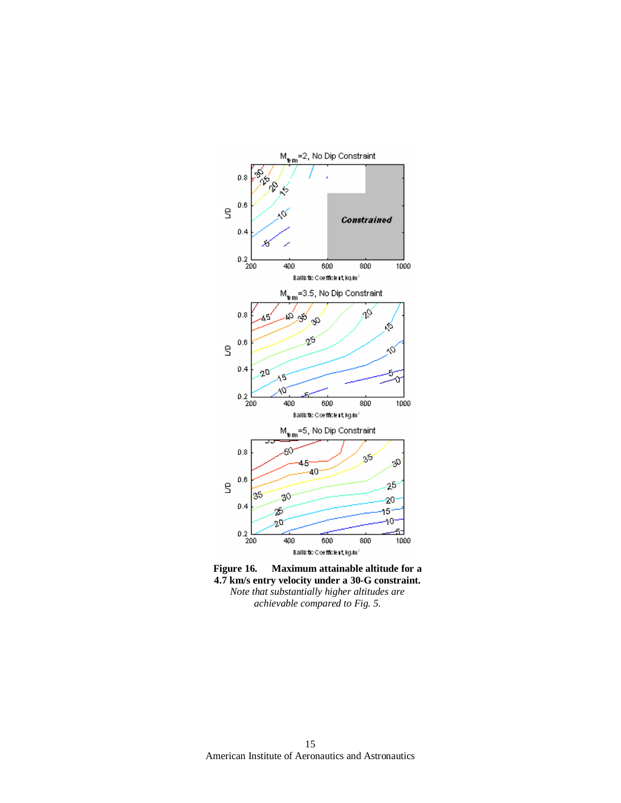

**Figure 16. Maximum attainable altitude for a 4.7 km/s entry velocity under a 30-G constraint.**  *Note that substantially higher altitudes are achievable compared to Fig. 5.*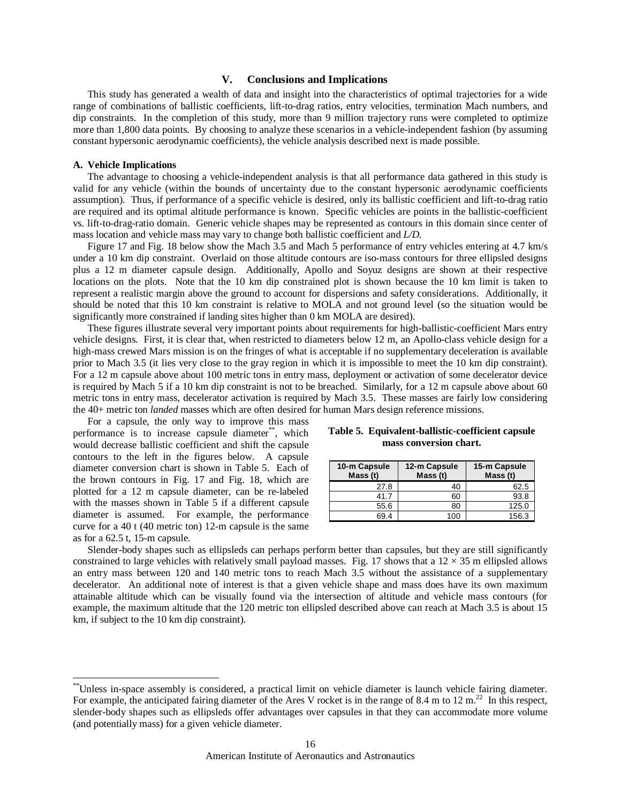## **V. Conclusions and Implications**

This study has generated a wealth of data and insight into the characteristics of optimal trajectories for a wide range of combinations of ballistic coefficients, lift-to-drag ratios, entry velocities, termination Mach numbers, and dip constraints. In the completion of this study, more than 9 million trajectory runs were completed to optimize more than 1,800 data points. By choosing to analyze these scenarios in a vehicle-independent fashion (by assuming constant hypersonic aerodynamic coefficients), the vehicle analysis described next is made possible.

### **A. Vehicle Implications**

-

The advantage to choosing a vehicle-independent analysis is that all performance data gathered in this study is valid for any vehicle (within the bounds of uncertainty due to the constant hypersonic aerodynamic coefficients assumption). Thus, if performance of a specific vehicle is desired, only its ballistic coefficient and lift-to-drag ratio are required and its optimal altitude performance is known. Specific vehicles are points in the ballistic-coefficient vs. lift-to-drag-ratio domain. Generic vehicle shapes may be represented as contours in this domain since center of mass location and vehicle mass may vary to change both ballistic coefficient and *L/D*.

Figure 17 and Fig. 18 below show the Mach 3.5 and Mach 5 performance of entry vehicles entering at 4.7 km/s under a 10 km dip constraint. Overlaid on those altitude contours are iso-mass contours for three ellipsled designs plus a 12 m diameter capsule design. Additionally, Apollo and Soyuz designs are shown at their respective locations on the plots. Note that the 10 km dip constrained plot is shown because the 10 km limit is taken to represent a realistic margin above the ground to account for dispersions and safety considerations. Additionally, it should be noted that this 10 km constraint is relative to MOLA and not ground level (so the situation would be significantly more constrained if landing sites higher than 0 km MOLA are desired).

These figures illustrate several very important points about requirements for high-ballistic-coefficient Mars entry vehicle designs. First, it is clear that, when restricted to diameters below 12 m, an Apollo-class vehicle design for a high-mass crewed Mars mission is on the fringes of what is acceptable if no supplementary deceleration is available prior to Mach 3.5 (it lies very close to the gray region in which it is impossible to meet the 10 km dip constraint). For a 12 m capsule above about 100 metric tons in entry mass, deployment or activation of some decelerator device is required by Mach 5 if a 10 km dip constraint is not to be breached. Similarly, for a 12 m capsule above about 60 metric tons in entry mass, decelerator activation is required by Mach 3.5. These masses are fairly low considering the 40+ metric ton *landed* masses which are often desired for human Mars design reference missions.

For a capsule, the only way to improve this mass performance is to increase capsule diameter\*\*, which would decrease ballistic coefficient and shift the capsule contours to the left in the figures below. A capsule diameter conversion chart is shown in Table 5. Each of the brown contours in Fig. 17 and Fig. 18, which are plotted for a 12 m capsule diameter, can be re-labeled with the masses shown in Table 5 if a different capsule diameter is assumed. For example, the performance curve for a 40 t (40 metric ton) 12-m capsule is the same as for a 62.5 t, 15-m capsule.

## **Table 5. Equivalent-ballistic-coefficient capsule mass conversion chart.**

| 10-m Capsule<br>Mass(t) | 12-m Capsule<br>Mass (t) | 15-m Capsule<br>Mass (t) |  |
|-------------------------|--------------------------|--------------------------|--|
| 27.8                    | 40                       | 62.5                     |  |
| 41.7                    | 60                       | 93.8                     |  |
| 55.6                    | 80                       | 125.0                    |  |
| 69.4                    | 100                      | 156.3                    |  |

Slender-body shapes such as ellipsleds can perhaps perform better than capsules, but they are still significantly constrained to large vehicles with relatively small payload masses. Fig. 17 shows that a  $12 \times 35$  m ellipsled allows an entry mass between 120 and 140 metric tons to reach Mach 3.5 without the assistance of a supplementary decelerator. An additional note of interest is that a given vehicle shape and mass does have its own maximum attainable altitude which can be visually found via the intersection of altitude and vehicle mass contours (for example, the maximum altitude that the 120 metric ton ellipsled described above can reach at Mach 3.5 is about 15 km, if subject to the 10 km dip constraint).

<sup>\*\*</sup>Unless in-space assembly is considered, a practical limit on vehicle diameter is launch vehicle fairing diameter. For example, the anticipated fairing diameter of the Ares V rocket is in the range of 8.4 m to 12 m.<sup>22</sup> In this respect, slender-body shapes such as ellipsleds offer advantages over capsules in that they can accommodate more volume (and potentially mass) for a given vehicle diameter.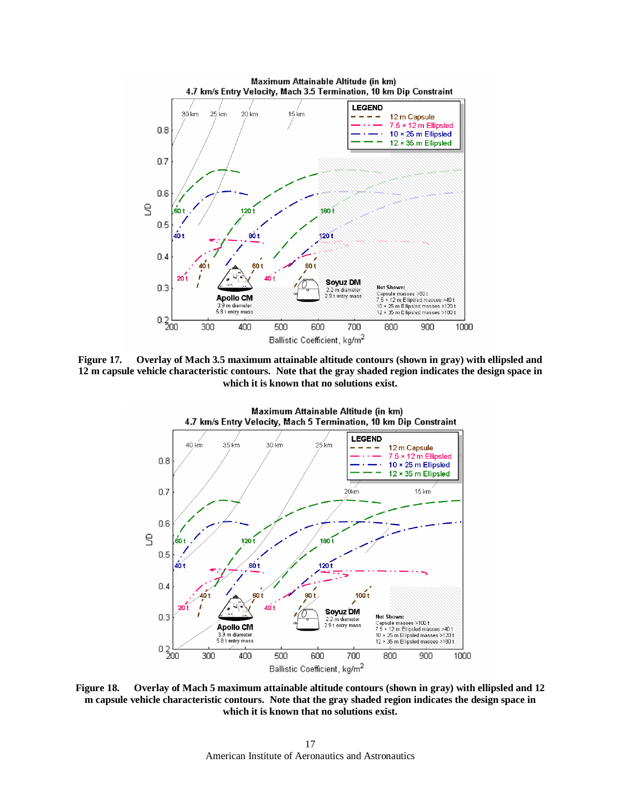

**Figure 17. Overlay of Mach 3.5 maximum attainable altitude contours (shown in gray) with ellipsled and 12 m capsule vehicle characteristic contours. Note that the gray shaded region indicates the design space in which it is known that no solutions exist.** 



**Figure 18. Overlay of Mach 5 maximum attainable altitude contours (shown in gray) with ellipsled and 12 m capsule vehicle characteristic contours. Note that the gray shaded region indicates the design space in which it is known that no solutions exist.**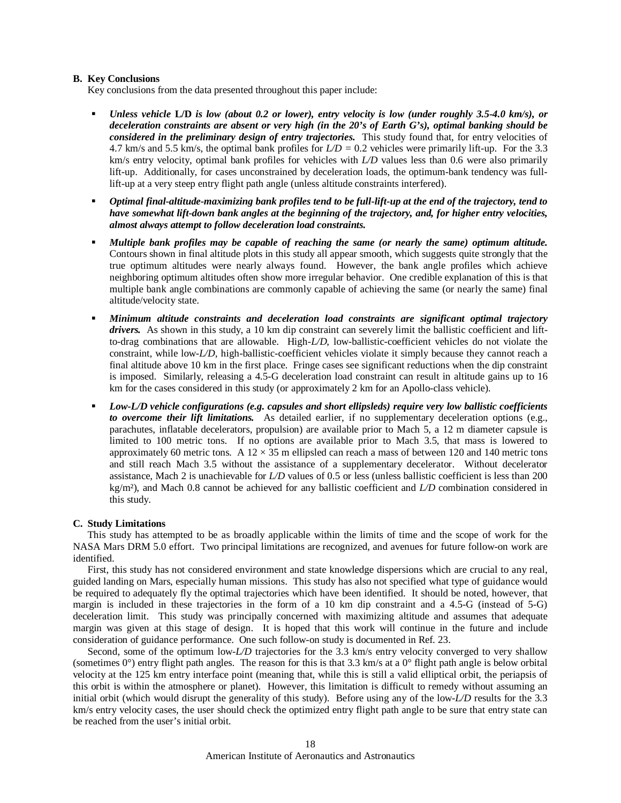## **B. Key Conclusions**

Key conclusions from the data presented throughout this paper include:

- *Unless vehicle* **L/D** *is low (about 0.2 or lower), entry velocity is low (under roughly 3.5-4.0 km/s), or deceleration constraints are absent or very high (in the 20's of Earth G's), optimal banking should be considered in the preliminary design of entry trajectories.* This study found that, for entry velocities of 4.7 km/s and 5.5 km/s, the optimal bank profiles for *L/D =* 0.2 vehicles were primarily lift-up. For the 3.3 km/s entry velocity, optimal bank profiles for vehicles with *L/D* values less than 0.6 were also primarily lift-up. Additionally, for cases unconstrained by deceleration loads, the optimum-bank tendency was fulllift-up at a very steep entry flight path angle (unless altitude constraints interfered).
- *Optimal final-altitude-maximizing bank profiles tend to be full-lift-up at the end of the trajectory, tend to have somewhat lift-down bank angles at the beginning of the trajectory, and, for higher entry velocities, almost always attempt to follow deceleration load constraints.*
- *Multiple bank profiles may be capable of reaching the same (or nearly the same) optimum altitude.*  Contours shown in final altitude plots in this study all appear smooth, which suggests quite strongly that the true optimum altitudes were nearly always found. However, the bank angle profiles which achieve neighboring optimum altitudes often show more irregular behavior. One credible explanation of this is that multiple bank angle combinations are commonly capable of achieving the same (or nearly the same) final altitude/velocity state.
- *Minimum altitude constraints and deceleration load constraints are significant optimal trajectory drivers.* As shown in this study, a 10 km dip constraint can severely limit the ballistic coefficient and liftto-drag combinations that are allowable. High-*L/D*, low-ballistic-coefficient vehicles do not violate the constraint, while low-*L/D*, high-ballistic-coefficient vehicles violate it simply because they cannot reach a final altitude above 10 km in the first place. Fringe cases see significant reductions when the dip constraint is imposed. Similarly, releasing a 4.5-G deceleration load constraint can result in altitude gains up to 16 km for the cases considered in this study (or approximately 2 km for an Apollo-class vehicle).
- *Low-L/D vehicle configurations (e.g. capsules and short ellipsleds) require very low ballistic coefficients to overcome their lift limitations.* As detailed earlier, if no supplementary deceleration options (e.g., parachutes, inflatable decelerators, propulsion) are available prior to Mach 5, a 12 m diameter capsule is limited to 100 metric tons. If no options are available prior to Mach 3.5, that mass is lowered to approximately 60 metric tons. A  $12 \times 35$  m ellipsled can reach a mass of between 120 and 140 metric tons and still reach Mach 3.5 without the assistance of a supplementary decelerator. Without decelerator assistance, Mach 2 is unachievable for *L/D* values of 0.5 or less (unless ballistic coefficient is less than 200 kg/m²), and Mach 0.8 cannot be achieved for any ballistic coefficient and *L/D* combination considered in this study.

# **C. Study Limitations**

This study has attempted to be as broadly applicable within the limits of time and the scope of work for the NASA Mars DRM 5.0 effort. Two principal limitations are recognized, and avenues for future follow-on work are identified.

First, this study has not considered environment and state knowledge dispersions which are crucial to any real, guided landing on Mars, especially human missions. This study has also not specified what type of guidance would be required to adequately fly the optimal trajectories which have been identified. It should be noted, however, that margin is included in these trajectories in the form of a 10 km dip constraint and a 4.5-G (instead of 5-G) deceleration limit. This study was principally concerned with maximizing altitude and assumes that adequate margin was given at this stage of design. It is hoped that this work will continue in the future and include consideration of guidance performance. One such follow-on study is documented in Ref. 23.

Second, some of the optimum low-*L/D* trajectories for the 3.3 km/s entry velocity converged to very shallow (sometimes  $0^{\circ}$ ) entry flight path angles. The reason for this is that 3.3 km/s at a  $0^{\circ}$  flight path angle is below orbital velocity at the 125 km entry interface point (meaning that, while this is still a valid elliptical orbit, the periapsis of this orbit is within the atmosphere or planet). However, this limitation is difficult to remedy without assuming an initial orbit (which would disrupt the generality of this study). Before using any of the low-*L/D* results for the 3.3 km/s entry velocity cases, the user should check the optimized entry flight path angle to be sure that entry state can be reached from the user's initial orbit.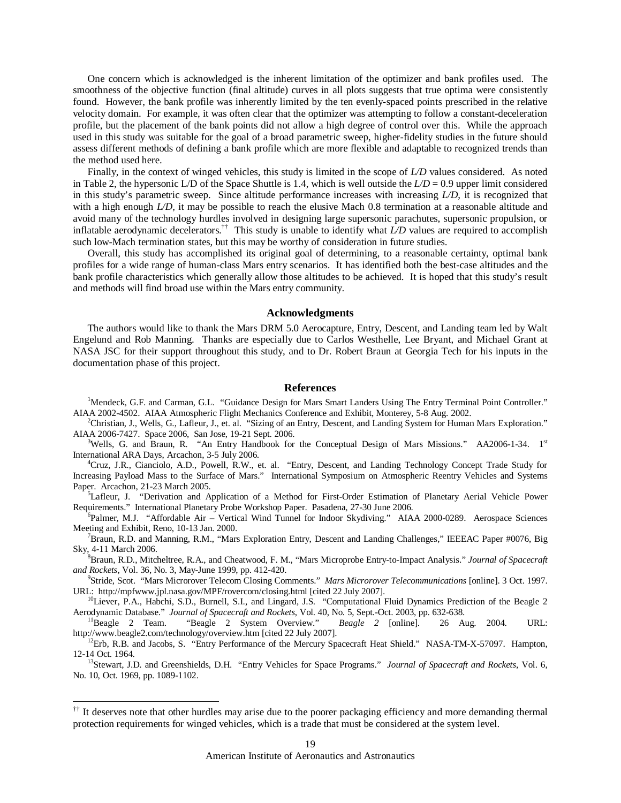One concern which is acknowledged is the inherent limitation of the optimizer and bank profiles used. The smoothness of the objective function (final altitude) curves in all plots suggests that true optima were consistently found. However, the bank profile was inherently limited by the ten evenly-spaced points prescribed in the relative velocity domain. For example, it was often clear that the optimizer was attempting to follow a constant-deceleration profile, but the placement of the bank points did not allow a high degree of control over this. While the approach used in this study was suitable for the goal of a broad parametric sweep, higher-fidelity studies in the future should assess different methods of defining a bank profile which are more flexible and adaptable to recognized trends than the method used here.

Finally, in the context of winged vehicles, this study is limited in the scope of *L/D* values considered. As noted in Table 2, the hypersonic L/D of the Space Shuttle is 1.4, which is well outside the  $L/D = 0.9$  upper limit considered in this study's parametric sweep. Since altitude performance increases with increasing *L/D*, it is recognized that with a high enough *L/D*, it may be possible to reach the elusive Mach 0.8 termination at a reasonable altitude and avoid many of the technology hurdles involved in designing large supersonic parachutes, supersonic propulsion, or inflatable aerodynamic decelerators.†† This study is unable to identify what *L/D* values are required to accomplish such low-Mach termination states, but this may be worthy of consideration in future studies.

Overall, this study has accomplished its original goal of determining, to a reasonable certainty, optimal bank profiles for a wide range of human-class Mars entry scenarios. It has identified both the best-case altitudes and the bank profile characteristics which generally allow those altitudes to be achieved. It is hoped that this study's result and methods will find broad use within the Mars entry community.

## **Acknowledgments**

The authors would like to thank the Mars DRM 5.0 Aerocapture, Entry, Descent, and Landing team led by Walt Engelund and Rob Manning. Thanks are especially due to Carlos Westhelle, Lee Bryant, and Michael Grant at NASA JSC for their support throughout this study, and to Dr. Robert Braun at Georgia Tech for his inputs in the documentation phase of this project.

#### **References**

<sup>1</sup>Mendeck, G.F. and Carman, G.L. "Guidance Design for Mars Smart Landers Using The Entry Terminal Point Controller." AIAA 2002-4502. AIAA Atmospheric Flight Mechanics Conference and Exhibit, Monterey, 5-8 Aug. 2002.

<sup>2</sup>Christian, J., Wells, G., Lafleur, J., et. al. "Sizing of an Entry, Descent, and Landing System for Human Mars Exploration." AIAA 2006-7427. Space 2006, San Jose, 19-21 Sept. 2006.

<sup>3</sup>Wells, G. and Braun, R. "An Entry Handbook for the Conceptual Design of Mars Missions." AA2006-1-34. 1<sup>st</sup> International ARA Days, Arcachon, 3-5 July 2006.

<sup>4</sup>Cruz, J.R., Cianciolo, A.D., Powell, R.W., et. al. "Entry, Descent, and Landing Technology Concept Trade Study for Increasing Payload Mass to the Surface of Mars." International Symposium on Atmospheric Reentry Vehicles and Systems Paper. Arcachon, 21-23 March 2005.

<sup>5</sup>Lafleur, J. "Derivation and Application of a Method for First-Order Estimation of Planetary Aerial Vehicle Power Requirements." International Planetary Probe Workshop Paper. Pasadena, 27-30 June 2006.

<sup>6</sup>Palmer, M.J. "Affordable Air - Vertical Wind Tunnel for Indoor Skydiving." AIAA 2000-0289. Aerospace Sciences Meeting and Exhibit, Reno, 10-13 Jan. 2000.

<sup>7</sup>Braun, R.D. and Manning, R.M., "Mars Exploration Entry, Descent and Landing Challenges," IEEEAC Paper #0076, Big Sky, 4-11 March 2006.

<sup>8</sup>Braun, R.D., Mitcheltree, R.A., and Cheatwood, F. M., "Mars Microprobe Entry-to-Impact Analysis." *Journal of Spacecraft and Rockets*, Vol. 36, No. 3, May-June 1999, pp. 412-420.

9 Stride, Scot. "Mars Microrover Telecom Closing Comments." *Mars Microrover Telecommunications* [online]. 3 Oct. 1997. URL: http://mpfwww.jpl.nasa.gov/MPF/rovercom/closing.html [cited 22 July 2007].

<sup>10</sup>Liever, P.A., Habchi, S.D., Burnell, S.I., and Lingard, J.S. "Computational Fluid Dynamics Prediction of the Beagle 2 Aerodynamic Database." *Journal of Spacecraft and Rockets*, Vol. 40, No. 5, Sept.-Oct. 2003, pp. 632-638.

<sup>11</sup>Beagle 2 Team. "Beagle 2 System Overview." *Beagle 2* [online]. 26 Aug. 2004. URL: http://www.beagle2.com/technology/overview.htm [cited 22 July 2007].

 $12$ Erb, R.B. and Jacobs, S. "Entry Performance of the Mercury Spacecraft Heat Shield." NASA-TM-X-57097. Hampton, 12-14 Oct. 1964.

<sup>13</sup>Stewart, J.D. and Greenshields, D.H. "Entry Vehicles for Space Programs." *Journal of Spacecraft and Rockets*, Vol. 6, No. 10, Oct. 1969, pp. 1089-1102.

-

<sup>&</sup>lt;sup>††</sup> It deserves note that other hurdles may arise due to the poorer packaging efficiency and more demanding thermal protection requirements for winged vehicles, which is a trade that must be considered at the system level.